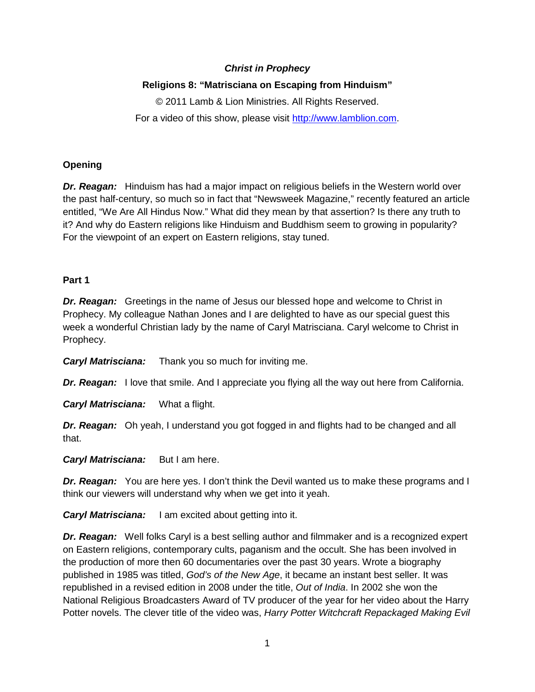## *Christ in Prophecy*

## **Religions 8: "Matrisciana on Escaping from Hinduism"**

© 2011 Lamb & Lion Ministries. All Rights Reserved. For a video of this show, please visit [http://www.lamblion.com.](http://www.lamblion.com/)

### **Opening**

**Dr. Reagan:** Hinduism has had a major impact on religious beliefs in the Western world over the past half-century, so much so in fact that "Newsweek Magazine," recently featured an article entitled, "We Are All Hindus Now." What did they mean by that assertion? Is there any truth to it? And why do Eastern religions like Hinduism and Buddhism seem to growing in popularity? For the viewpoint of an expert on Eastern religions, stay tuned.

#### **Part 1**

**Dr. Reagan:** Greetings in the name of Jesus our blessed hope and welcome to Christ in Prophecy. My colleague Nathan Jones and I are delighted to have as our special guest this week a wonderful Christian lady by the name of Caryl Matrisciana. Caryl welcome to Christ in Prophecy.

*Caryl Matrisciana:* Thank you so much for inviting me.

*Dr. Reagan:* I love that smile. And I appreciate you flying all the way out here from California.

*Caryl Matrisciana:* What a flight.

*Dr. Reagan:* Oh yeah, I understand you got fogged in and flights had to be changed and all that.

*Caryl Matrisciana:* But I am here.

*Dr. Reagan:* You are here yes. I don't think the Devil wanted us to make these programs and I think our viewers will understand why when we get into it yeah.

*Caryl Matrisciana:* I am excited about getting into it.

**Dr. Reagan:** Well folks Caryl is a best selling author and filmmaker and is a recognized expert on Eastern religions, contemporary cults, paganism and the occult. She has been involved in the production of more then 60 documentaries over the past 30 years. Wrote a biography published in 1985 was titled, *God's of the New Age*, it became an instant best seller. It was republished in a revised edition in 2008 under the title, *Out of India*. In 2002 she won the National Religious Broadcasters Award of TV producer of the year for her video about the Harry Potter novels. The clever title of the video was, *Harry Potter Witchcraft Repackaged Making Evil*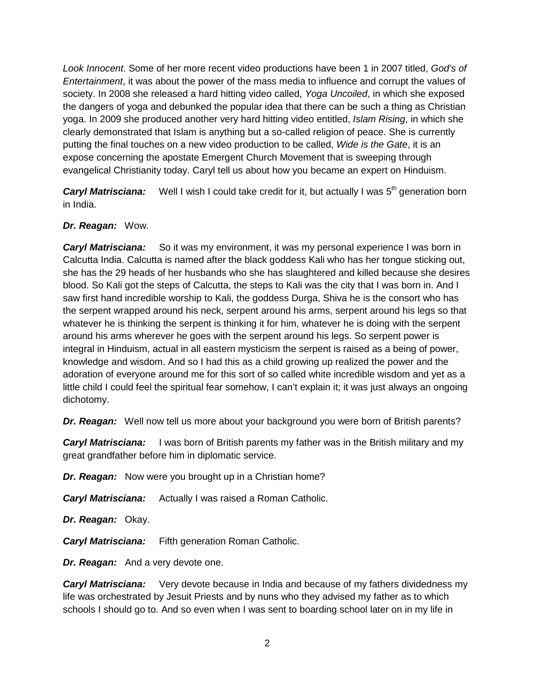*Look Innocent*. Some of her more recent video productions have been 1 in 2007 titled, *God's of Entertainment*, it was about the power of the mass media to influence and corrupt the values of society. In 2008 she released a hard hitting video called, *Yoga Uncoiled*, in which she exposed the dangers of yoga and debunked the popular idea that there can be such a thing as Christian yoga. In 2009 she produced another very hard hitting video entitled, *Islam Rising*, in which she clearly demonstrated that Islam is anything but a so-called religion of peace. She is currently putting the final touches on a new video production to be called, *Wide is the Gate*, it is an expose concerning the apostate Emergent Church Movement that is sweeping through evangelical Christianity today. Caryl tell us about how you became an expert on Hinduism.

**Caryl Matrisciana:** Well I wish I could take credit for it, but actually I was 5<sup>th</sup> generation born in India.

## *Dr. Reagan:* Wow.

*Caryl Matrisciana:* So it was my environment, it was my personal experience I was born in Calcutta India. Calcutta is named after the black goddess Kali who has her tongue sticking out, she has the 29 heads of her husbands who she has slaughtered and killed because she desires blood. So Kali got the steps of Calcutta, the steps to Kali was the city that I was born in. And I saw first hand incredible worship to Kali, the goddess Durga, Shiva he is the consort who has the serpent wrapped around his neck, serpent around his arms, serpent around his legs so that whatever he is thinking the serpent is thinking it for him, whatever he is doing with the serpent around his arms wherever he goes with the serpent around his legs. So serpent power is integral in Hinduism, actual in all eastern mysticism the serpent is raised as a being of power, knowledge and wisdom. And so I had this as a child growing up realized the power and the adoration of everyone around me for this sort of so called white incredible wisdom and yet as a little child I could feel the spiritual fear somehow, I can't explain it; it was just always an ongoing dichotomy.

*Dr. Reagan:* Well now tell us more about your background you were born of British parents?

*Caryl Matrisciana:* I was born of British parents my father was in the British military and my great grandfather before him in diplomatic service.

*Dr. Reagan:* Now were you brought up in a Christian home?

*Caryl Matrisciana:* Actually I was raised a Roman Catholic.

*Dr. Reagan:* Okay.

*Caryl Matrisciana:* Fifth generation Roman Catholic.

*Dr. Reagan:* And a very devote one.

*Caryl Matrisciana:* Very devote because in India and because of my fathers dividedness my life was orchestrated by Jesuit Priests and by nuns who they advised my father as to which schools I should go to. And so even when I was sent to boarding school later on in my life in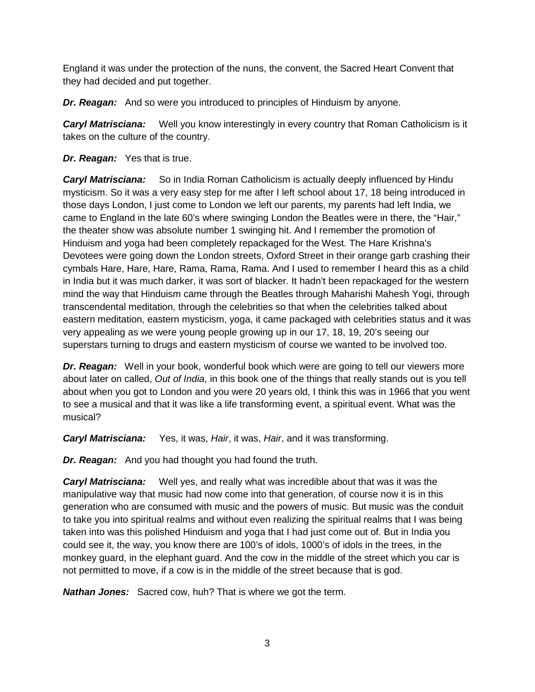England it was under the protection of the nuns, the convent, the Sacred Heart Convent that they had decided and put together.

*Dr. Reagan:* And so were you introduced to principles of Hinduism by anyone.

*Caryl Matrisciana:* Well you know interestingly in every country that Roman Catholicism is it takes on the culture of the country.

*Dr. Reagan:* Yes that is true.

*Caryl Matrisciana:* So in India Roman Catholicism is actually deeply influenced by Hindu mysticism. So it was a very easy step for me after I left school about 17, 18 being introduced in those days London, I just come to London we left our parents, my parents had left India, we came to England in the late 60's where swinging London the Beatles were in there, the "Hair," the theater show was absolute number 1 swinging hit. And I remember the promotion of Hinduism and yoga had been completely repackaged for the West. The Hare Krishna's Devotees were going down the London streets, Oxford Street in their orange garb crashing their cymbals Hare, Hare, Hare, Rama, Rama, Rama. And I used to remember I heard this as a child in India but it was much darker, it was sort of blacker. It hadn't been repackaged for the western mind the way that Hinduism came through the Beatles through Maharishi Mahesh Yogi, through transcendental meditation, through the celebrities so that when the celebrities talked about eastern meditation, eastern mysticism, yoga, it came packaged with celebrities status and it was very appealing as we were young people growing up in our 17, 18, 19, 20's seeing our superstars turning to drugs and eastern mysticism of course we wanted to be involved too.

**Dr. Reagan:** Well in your book, wonderful book which were are going to tell our viewers more about later on called, *Out of India*, in this book one of the things that really stands out is you tell about when you got to London and you were 20 years old, I think this was in 1966 that you went to see a musical and that it was like a life transforming event, a spiritual event. What was the musical?

*Caryl Matrisciana:* Yes, it was, *Hair*, it was, *Hair*, and it was transforming.

**Dr. Reagan:** And you had thought you had found the truth.

*Caryl Matrisciana:* Well yes, and really what was incredible about that was it was the manipulative way that music had now come into that generation, of course now it is in this generation who are consumed with music and the powers of music. But music was the conduit to take you into spiritual realms and without even realizing the spiritual realms that I was being taken into was this polished Hinduism and yoga that I had just come out of. But in India you could see it, the way, you know there are 100's of idols, 1000's of idols in the trees, in the monkey guard, in the elephant guard. And the cow in the middle of the street which you car is not permitted to move, if a cow is in the middle of the street because that is god.

*Nathan Jones:* Sacred cow, huh? That is where we got the term.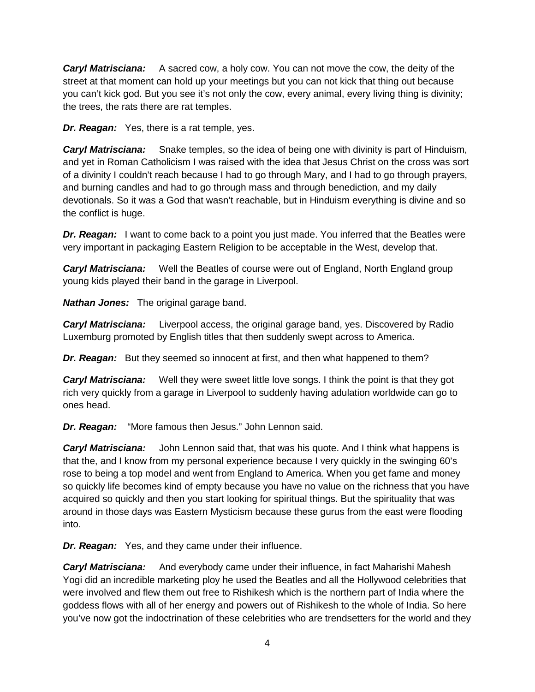*Caryl Matrisciana:* A sacred cow, a holy cow. You can not move the cow, the deity of the street at that moment can hold up your meetings but you can not kick that thing out because you can't kick god. But you see it's not only the cow, every animal, every living thing is divinity; the trees, the rats there are rat temples.

*Dr. Reagan:* Yes, there is a rat temple, yes.

*Caryl Matrisciana:* Snake temples, so the idea of being one with divinity is part of Hinduism, and yet in Roman Catholicism I was raised with the idea that Jesus Christ on the cross was sort of a divinity I couldn't reach because I had to go through Mary, and I had to go through prayers, and burning candles and had to go through mass and through benediction, and my daily devotionals. So it was a God that wasn't reachable, but in Hinduism everything is divine and so the conflict is huge.

*Dr. Reagan:* I want to come back to a point you just made. You inferred that the Beatles were very important in packaging Eastern Religion to be acceptable in the West, develop that.

**Caryl Matrisciana:** Well the Beatles of course were out of England, North England group young kids played their band in the garage in Liverpool.

*Nathan Jones:* The original garage band.

*Caryl Matrisciana:* Liverpool access, the original garage band, yes. Discovered by Radio Luxemburg promoted by English titles that then suddenly swept across to America.

*Dr. Reagan:* But they seemed so innocent at first, and then what happened to them?

**Caryl Matrisciana:** Well they were sweet little love songs. I think the point is that they got rich very quickly from a garage in Liverpool to suddenly having adulation worldwide can go to ones head.

*Dr. Reagan:* "More famous then Jesus." John Lennon said.

*Caryl Matrisciana:* John Lennon said that, that was his quote. And I think what happens is that the, and I know from my personal experience because I very quickly in the swinging 60's rose to being a top model and went from England to America. When you get fame and money so quickly life becomes kind of empty because you have no value on the richness that you have acquired so quickly and then you start looking for spiritual things. But the spirituality that was around in those days was Eastern Mysticism because these gurus from the east were flooding into.

*Dr. Reagan:* Yes, and they came under their influence.

*Caryl Matrisciana:* And everybody came under their influence, in fact Maharishi Mahesh Yogi did an incredible marketing ploy he used the Beatles and all the Hollywood celebrities that were involved and flew them out free to Rishikesh which is the northern part of India where the goddess flows with all of her energy and powers out of Rishikesh to the whole of India. So here you've now got the indoctrination of these celebrities who are trendsetters for the world and they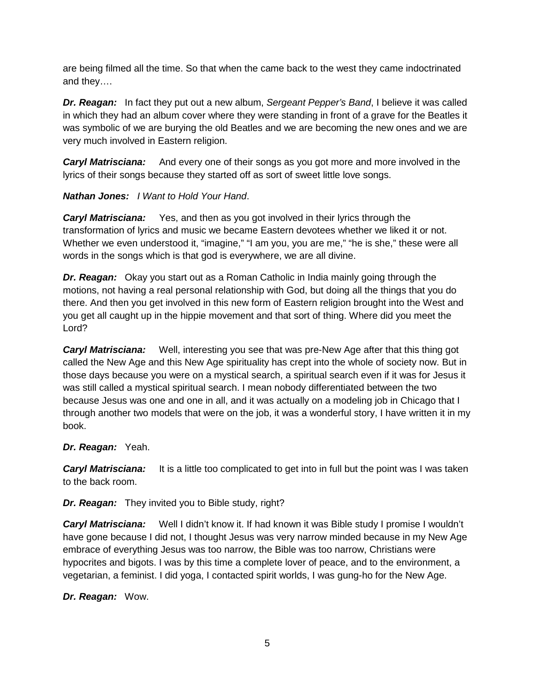are being filmed all the time. So that when the came back to the west they came indoctrinated and they….

*Dr. Reagan:* In fact they put out a new album, *Sergeant Pepper's Band*, I believe it was called in which they had an album cover where they were standing in front of a grave for the Beatles it was symbolic of we are burying the old Beatles and we are becoming the new ones and we are very much involved in Eastern religion.

*Caryl Matrisciana:* And every one of their songs as you got more and more involved in the lyrics of their songs because they started off as sort of sweet little love songs.

# *Nathan Jones: I Want to Hold Your Hand*.

*Caryl Matrisciana:* Yes, and then as you got involved in their lyrics through the transformation of lyrics and music we became Eastern devotees whether we liked it or not. Whether we even understood it, "imagine," "I am you, you are me," "he is she," these were all words in the songs which is that god is everywhere, we are all divine.

*Dr. Reagan:* Okay you start out as a Roman Catholic in India mainly going through the motions, not having a real personal relationship with God, but doing all the things that you do there. And then you get involved in this new form of Eastern religion brought into the West and you get all caught up in the hippie movement and that sort of thing. Where did you meet the Lord?

*Caryl Matrisciana:* Well, interesting you see that was pre-New Age after that this thing got called the New Age and this New Age spirituality has crept into the whole of society now. But in those days because you were on a mystical search, a spiritual search even if it was for Jesus it was still called a mystical spiritual search. I mean nobody differentiated between the two because Jesus was one and one in all, and it was actually on a modeling job in Chicago that I through another two models that were on the job, it was a wonderful story, I have written it in my book.

# *Dr. Reagan:* Yeah.

**Caryl Matrisciana:** It is a little too complicated to get into in full but the point was I was taken to the back room.

*Dr. Reagan:* They invited you to Bible study, right?

*Caryl Matrisciana:* Well I didn't know it. If had known it was Bible study I promise I wouldn't have gone because I did not, I thought Jesus was very narrow minded because in my New Age embrace of everything Jesus was too narrow, the Bible was too narrow, Christians were hypocrites and bigots. I was by this time a complete lover of peace, and to the environment, a vegetarian, a feminist. I did yoga, I contacted spirit worlds, I was gung-ho for the New Age.

*Dr. Reagan:* Wow.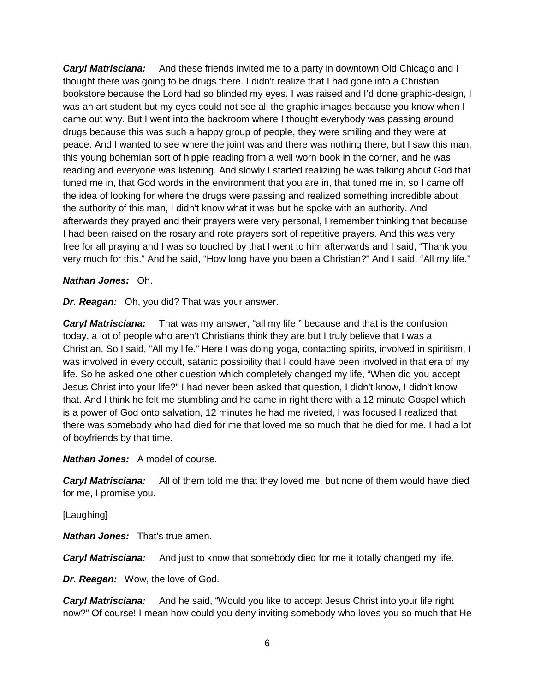*Caryl Matrisciana:* And these friends invited me to a party in downtown Old Chicago and I thought there was going to be drugs there. I didn't realize that I had gone into a Christian bookstore because the Lord had so blinded my eyes. I was raised and I'd done graphic-design, I was an art student but my eyes could not see all the graphic images because you know when I came out why. But I went into the backroom where I thought everybody was passing around drugs because this was such a happy group of people, they were smiling and they were at peace. And I wanted to see where the joint was and there was nothing there, but I saw this man, this young bohemian sort of hippie reading from a well worn book in the corner, and he was reading and everyone was listening. And slowly I started realizing he was talking about God that tuned me in, that God words in the environment that you are in, that tuned me in, so I came off the idea of looking for where the drugs were passing and realized something incredible about the authority of this man, I didn't know what it was but he spoke with an authority. And afterwards they prayed and their prayers were very personal, I remember thinking that because I had been raised on the rosary and rote prayers sort of repetitive prayers. And this was very free for all praying and I was so touched by that I went to him afterwards and I said, "Thank you very much for this." And he said, "How long have you been a Christian?" And I said, "All my life."

#### *Nathan Jones:* Oh.

*Dr. Reagan:* Oh, you did? That was your answer.

*Caryl Matrisciana:* That was my answer, "all my life," because and that is the confusion today, a lot of people who aren't Christians think they are but I truly believe that I was a Christian. So I said, "All my life." Here I was doing yoga, contacting spirits, involved in spiritism, I was involved in every occult, satanic possibility that I could have been involved in that era of my life. So he asked one other question which completely changed my life, "When did you accept Jesus Christ into your life?" I had never been asked that question, I didn't know, I didn't know that. And I think he felt me stumbling and he came in right there with a 12 minute Gospel which is a power of God onto salvation, 12 minutes he had me riveted, I was focused I realized that there was somebody who had died for me that loved me so much that he died for me. I had a lot of boyfriends by that time.

*Nathan Jones:* A model of course.

**Caryl Matrisciana:** All of them told me that they loved me, but none of them would have died for me, I promise you.

[Laughing]

*Nathan Jones:* That's true amen.

**Caryl Matrisciana:** And just to know that somebody died for me it totally changed my life.

**Dr. Reagan:** Wow, the love of God.

**Caryl Matrisciana:** And he said, "Would you like to accept Jesus Christ into your life right now?" Of course! I mean how could you deny inviting somebody who loves you so much that He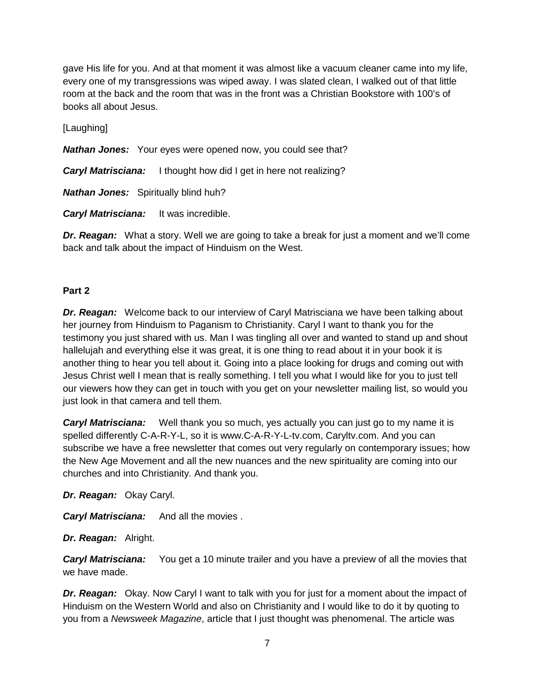gave His life for you. And at that moment it was almost like a vacuum cleaner came into my life, every one of my transgressions was wiped away. I was slated clean, I walked out of that little room at the back and the room that was in the front was a Christian Bookstore with 100's of books all about Jesus.

[Laughing]

*Nathan Jones:* Your eyes were opened now, you could see that?

*Caryl Matrisciana:* I thought how did I get in here not realizing?

*Nathan Jones:* Spiritually blind huh?

*Caryl Matrisciana:* It was incredible.

**Dr. Reagan:** What a story. Well we are going to take a break for just a moment and we'll come back and talk about the impact of Hinduism on the West.

## **Part 2**

*Dr. Reagan:* Welcome back to our interview of Caryl Matrisciana we have been talking about her journey from Hinduism to Paganism to Christianity. Caryl I want to thank you for the testimony you just shared with us. Man I was tingling all over and wanted to stand up and shout hallelujah and everything else it was great, it is one thing to read about it in your book it is another thing to hear you tell about it. Going into a place looking for drugs and coming out with Jesus Christ well I mean that is really something. I tell you what I would like for you to just tell our viewers how they can get in touch with you get on your newsletter mailing list, so would you just look in that camera and tell them.

**Caryl Matrisciana:** Well thank you so much, yes actually you can just go to my name it is spelled differently C-A-R-Y-L, so it is www.C-A-R-Y-L-tv.com, Caryltv.com. And you can subscribe we have a free newsletter that comes out very regularly on contemporary issues; how the New Age Movement and all the new nuances and the new spirituality are coming into our churches and into Christianity. And thank you.

*Dr. Reagan:* Okay Caryl.

*Caryl Matrisciana:* And all the movies .

*Dr. Reagan:* Alright.

**Caryl Matrisciana:** You get a 10 minute trailer and you have a preview of all the movies that we have made.

**Dr. Reagan:** Okay. Now Caryl I want to talk with you for just for a moment about the impact of Hinduism on the Western World and also on Christianity and I would like to do it by quoting to you from a *Newsweek Magazine*, article that I just thought was phenomenal. The article was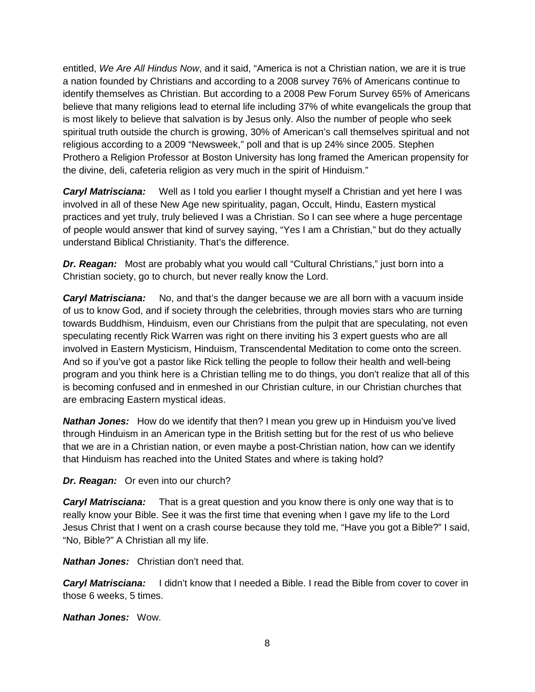entitled, *We Are All Hindus Now*, and it said, "America is not a Christian nation, we are it is true a nation founded by Christians and according to a 2008 survey 76% of Americans continue to identify themselves as Christian. But according to a 2008 Pew Forum Survey 65% of Americans believe that many religions lead to eternal life including 37% of white evangelicals the group that is most likely to believe that salvation is by Jesus only. Also the number of people who seek spiritual truth outside the church is growing, 30% of American's call themselves spiritual and not religious according to a 2009 "Newsweek," poll and that is up 24% since 2005. Stephen Prothero a Religion Professor at Boston University has long framed the American propensity for the divine, deli, cafeteria religion as very much in the spirit of Hinduism."

**Caryl Matrisciana:** Well as I told you earlier I thought myself a Christian and yet here I was involved in all of these New Age new spirituality, pagan, Occult, Hindu, Eastern mystical practices and yet truly, truly believed I was a Christian. So I can see where a huge percentage of people would answer that kind of survey saying, "Yes I am a Christian," but do they actually understand Biblical Christianity. That's the difference.

**Dr. Reagan:** Most are probably what you would call "Cultural Christians," just born into a Christian society, go to church, but never really know the Lord.

**Caryl Matrisciana:** No, and that's the danger because we are all born with a vacuum inside of us to know God, and if society through the celebrities, through movies stars who are turning towards Buddhism, Hinduism, even our Christians from the pulpit that are speculating, not even speculating recently Rick Warren was right on there inviting his 3 expert guests who are all involved in Eastern Mysticism, Hinduism, Transcendental Meditation to come onto the screen. And so if you've got a pastor like Rick telling the people to follow their health and well-being program and you think here is a Christian telling me to do things, you don't realize that all of this is becoming confused and in enmeshed in our Christian culture, in our Christian churches that are embracing Eastern mystical ideas.

**Nathan Jones:** How do we identify that then? I mean you grew up in Hinduism you've lived through Hinduism in an American type in the British setting but for the rest of us who believe that we are in a Christian nation, or even maybe a post-Christian nation, how can we identify that Hinduism has reached into the United States and where is taking hold?

#### *Dr. Reagan:* Or even into our church?

*Caryl Matrisciana:* That is a great question and you know there is only one way that is to really know your Bible. See it was the first time that evening when I gave my life to the Lord Jesus Christ that I went on a crash course because they told me, "Have you got a Bible?" I said, "No, Bible?" A Christian all my life.

*Nathan Jones:* Christian don't need that.

*Caryl Matrisciana:* I didn't know that I needed a Bible. I read the Bible from cover to cover in those 6 weeks, 5 times.

*Nathan Jones:* Wow.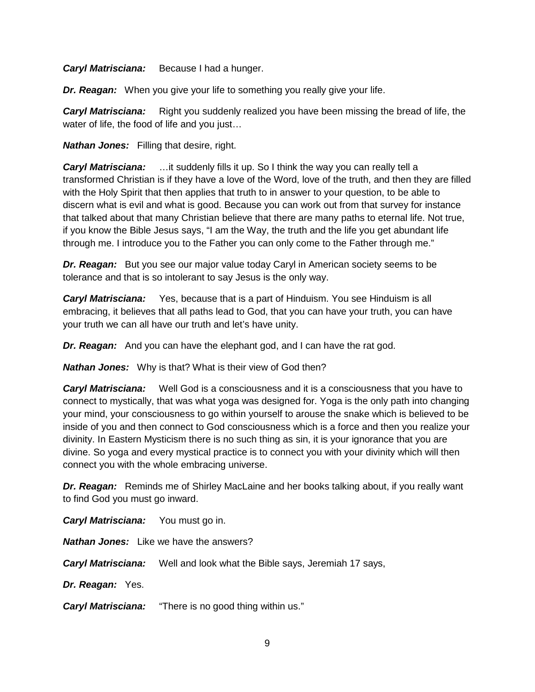*Caryl Matrisciana:* Because I had a hunger.

*Dr. Reagan:* When you give your life to something you really give your life.

*Caryl Matrisciana:* Right you suddenly realized you have been missing the bread of life, the water of life, the food of life and you just…

*Nathan Jones:* Filling that desire, right.

*Caryl Matrisciana:* …it suddenly fills it up. So I think the way you can really tell a transformed Christian is if they have a love of the Word, love of the truth, and then they are filled with the Holy Spirit that then applies that truth to in answer to your question, to be able to discern what is evil and what is good. Because you can work out from that survey for instance that talked about that many Christian believe that there are many paths to eternal life. Not true, if you know the Bible Jesus says, "I am the Way, the truth and the life you get abundant life through me. I introduce you to the Father you can only come to the Father through me."

*Dr. Reagan:* But you see our major value today Caryl in American society seems to be tolerance and that is so intolerant to say Jesus is the only way.

*Caryl Matrisciana:* Yes, because that is a part of Hinduism. You see Hinduism is all embracing, it believes that all paths lead to God, that you can have your truth, you can have your truth we can all have our truth and let's have unity.

*Dr. Reagan:* And you can have the elephant god, and I can have the rat god.

*Nathan Jones:* Why is that? What is their view of God then?

*Caryl Matrisciana:* Well God is a consciousness and it is a consciousness that you have to connect to mystically, that was what yoga was designed for. Yoga is the only path into changing your mind, your consciousness to go within yourself to arouse the snake which is believed to be inside of you and then connect to God consciousness which is a force and then you realize your divinity. In Eastern Mysticism there is no such thing as sin, it is your ignorance that you are divine. So yoga and every mystical practice is to connect you with your divinity which will then connect you with the whole embracing universe.

**Dr. Reagan:** Reminds me of Shirley MacLaine and her books talking about, if you really want to find God you must go inward.

*Caryl Matrisciana:* You must go in. *Nathan Jones:* Like we have the answers? *Caryl Matrisciana:* Well and look what the Bible says, Jeremiah 17 says, *Dr. Reagan:* Yes. *Caryl Matrisciana:* "There is no good thing within us."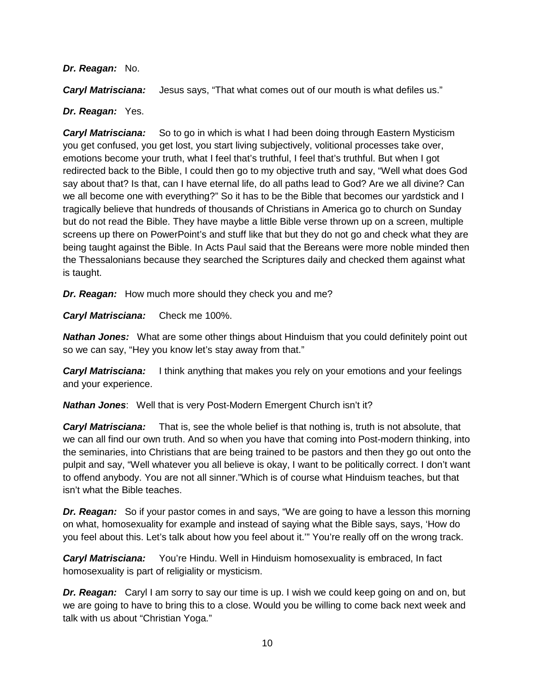#### *Dr. Reagan:* No.

*Caryl Matrisciana:* Jesus says, "That what comes out of our mouth is what defiles us."

### *Dr. Reagan:* Yes.

*Caryl Matrisciana:* So to go in which is what I had been doing through Eastern Mysticism you get confused, you get lost, you start living subjectively, volitional processes take over, emotions become your truth, what I feel that's truthful, I feel that's truthful. But when I got redirected back to the Bible, I could then go to my objective truth and say, "Well what does God say about that? Is that, can I have eternal life, do all paths lead to God? Are we all divine? Can we all become one with everything?" So it has to be the Bible that becomes our yardstick and I tragically believe that hundreds of thousands of Christians in America go to church on Sunday but do not read the Bible. They have maybe a little Bible verse thrown up on a screen, multiple screens up there on PowerPoint's and stuff like that but they do not go and check what they are being taught against the Bible. In Acts Paul said that the Bereans were more noble minded then the Thessalonians because they searched the Scriptures daily and checked them against what is taught.

*Dr. Reagan:* How much more should they check you and me?

*Caryl Matrisciana:* Check me 100%.

**Nathan Jones:** What are some other things about Hinduism that you could definitely point out so we can say, "Hey you know let's stay away from that."

*Caryl Matrisciana:* I think anything that makes you rely on your emotions and your feelings and your experience.

*Nathan Jones*:Well that is very Post-Modern Emergent Church isn't it?

*Caryl Matrisciana:* That is, see the whole belief is that nothing is, truth is not absolute, that we can all find our own truth. And so when you have that coming into Post-modern thinking, into the seminaries, into Christians that are being trained to be pastors and then they go out onto the pulpit and say, "Well whatever you all believe is okay, I want to be politically correct. I don't want to offend anybody. You are not all sinner."Which is of course what Hinduism teaches, but that isn't what the Bible teaches.

*Dr. Reagan:* So if your pastor comes in and says, "We are going to have a lesson this morning on what, homosexuality for example and instead of saying what the Bible says, says, 'How do you feel about this. Let's talk about how you feel about it.'" You're really off on the wrong track.

*Caryl Matrisciana:* You're Hindu. Well in Hinduism homosexuality is embraced, In fact homosexuality is part of religiality or mysticism.

*Dr. Reagan:* Caryl I am sorry to say our time is up. I wish we could keep going on and on, but we are going to have to bring this to a close. Would you be willing to come back next week and talk with us about "Christian Yoga."